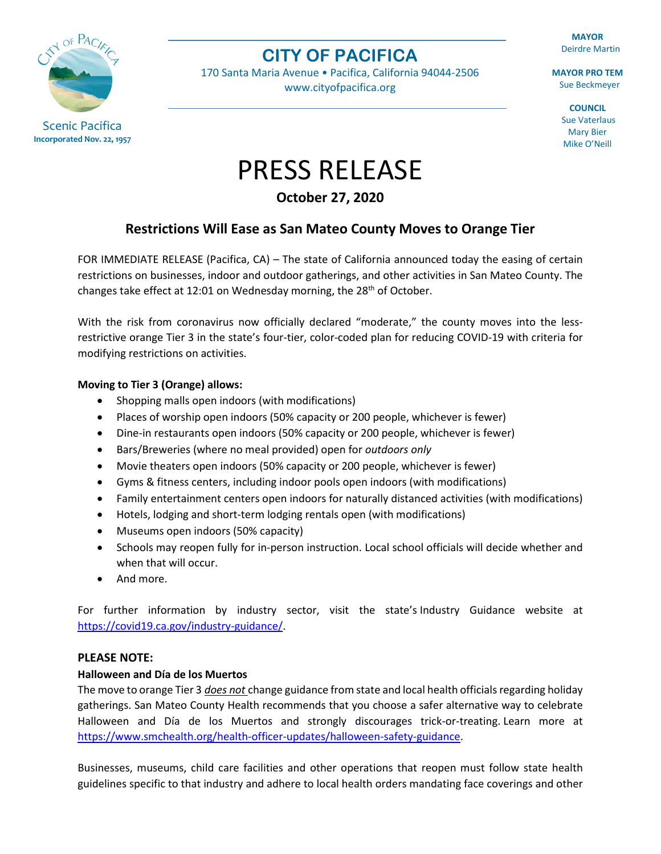

## **CITY OF PACIFICA**

170 Santa Maria Avenue • Pacifica, California 94044-2506 [www.cityofpacifica.org](http://www.cityofpacifica.org/)

**MAYOR** Deirdre Martin

**MAYOR PRO TEM** Sue Beckmeyer

> **COUNCIL** Sue Vaterlaus Mary Bier Mike O'Neill

**Incorporated Nov. 22, 1957**

# PRESS RELEASE

**October 27, 2020**

### **Restrictions Will Ease as San Mateo County Moves to Orange Tier**

FOR IMMEDIATE RELEASE (Pacifica, CA) – The state of California announced today the easing of certain restrictions on businesses, indoor and outdoor gatherings, and other activities in San Mateo County. The changes take effect at 12:01 on Wednesday morning, the  $28<sup>th</sup>$  of October.

With the risk from coronavirus now officially declared "moderate," the county moves into the lessrestrictive orange Tier 3 in the state's four-tier, color-coded plan for reducing COVID-19 with criteria for modifying restrictions on activities.

#### **Moving to Tier 3 (Orange) allows:**

- Shopping malls open indoors (with modifications)
- Places of worship open indoors (50% capacity or 200 people, whichever is fewer)
- Dine-in restaurants open indoors (50% capacity or 200 people, whichever is fewer)
- Bars/Breweries (where no meal provided) open for *outdoors only*
- Movie theaters open indoors (50% capacity or 200 people, whichever is fewer)
- Gyms & fitness centers, including indoor pools open indoors (with modifications)
- Family entertainment centers open indoors for naturally distanced activities (with modifications)
- Hotels, lodging and short-term lodging rentals open (with modifications)
- Museums open indoors (50% capacity)
- Schools may reopen fully for in-person instruction. Local school officials will decide whether and when that will occur.
- And more.

For further information by industry sector, visit the state's Industry Guidance website at [https://covid19.ca.gov/industry-guidance/.](https://covid19.ca.gov/industry-guidance/)

#### **PLEASE NOTE:**

#### **Halloween and Día de los Muertos**

The move to orange Tier 3 *does not* change guidance from state and local health officials regarding holiday gatherings. San Mateo County Health recommends that you choose a safer alternative way to celebrate Halloween and Día de los Muertos and strongly discourages trick-or-treating. Learn more at [https://www.smchealth.org/health-officer-updates/halloween-safety-guidance.](https://www.smchealth.org/health-officer-updates/halloween-safety-guidance)

Businesses, museums, child care facilities and other operations that reopen must follow state health guidelines specific to that industry and adhere to local health orders mandating face coverings and other